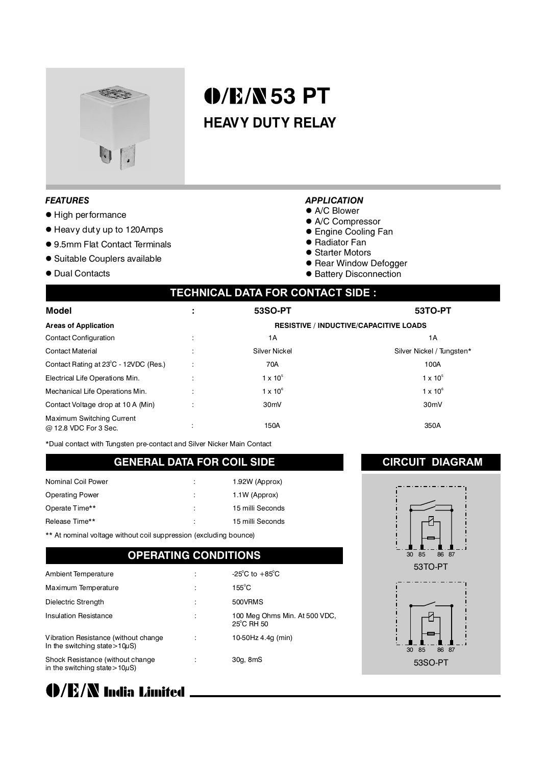

# **53 PT HEAVY DUTY RELAY**

#### *FEATURES*

- $\bullet$  High performance
- l Heavy duty up to 120Amps
- 9.5mm Flat Contact Terminals
- Suitable Couplers available
- Dual Contacts

#### *APPLICATION*

- $\bullet$  A/C Blower
- A/C Compressor
- **Engine Cooling Fan**
- Radiator Fan
- **Starter Motors**
- **Rear Window Defogger**
- **Battery Disconnection**

### **TECHNICAL DATA FOR CONTACT SIDE :**

| <b>Model</b>                                       | 53SO-PT                                       | <b>53TO-PT</b>            |  |
|----------------------------------------------------|-----------------------------------------------|---------------------------|--|
| <b>Areas of Application</b>                        | <b>RESISTIVE / INDUCTIVE/CAPACITIVE LOADS</b> |                           |  |
| <b>Contact Configuration</b>                       | 1А                                            | 1A                        |  |
| <b>Contact Material</b>                            | Silver Nickel                                 | Silver Nickel / Tungsten* |  |
| Contact Rating at 23°C - 12VDC (Res.)              | 70A                                           | 100A                      |  |
| Electrical Life Operations Min.                    | $1 \times 10^{5}$                             | $1 \times 10^5$           |  |
| Mechanical Life Operations Min.                    | $1 \times 10^6$                               | $1 \times 10^6$           |  |
| Contact Voltage drop at 10 A (Min)                 | 30 <sub>m</sub> V                             | 30 <sub>m</sub> V         |  |
| Maximum Switching Current<br>@ 12.8 VDC For 3 Sec. | 150A                                          | 350A                      |  |

\*Dual contact with Tungsten pre-contact and Silver Nicker Main Contact

#### **GENERAL DATA FOR COIL SIDE**

| Nominal Coil Power     | ٠<br>÷ | 1.92W (Approx)   |
|------------------------|--------|------------------|
| <b>Operating Power</b> | ÷      | 1.1W (Approx)    |
| Operate Time**         | ÷      | 15 milli Seconds |
| Release Time**         | ÷      | 15 milli Seconds |

\*\* At nominal voltage without coil suppression (excluding bounce)

#### **OPERATING CONDITIONS**

| Ambient Temperature                                                          | -25 <sup>°</sup> C to $+85$ <sup>°</sup> C  |
|------------------------------------------------------------------------------|---------------------------------------------|
| Maximum Temperature                                                          | $155^{\circ}$ C                             |
| Dielectric Strength                                                          | 500VRMS                                     |
| <b>Insulation Resistance</b>                                                 | 100 Meg Ohms Min. At 500 VDC,<br>25°C RH 50 |
| Vibration Resistance (without change)<br>In the switching state > $10\mu$ S) | 10-50Hz 4.4g (min)                          |
| Shock Resistance (without change<br>in the switching state > $10\mu$ S)      | 30g, 8mS                                    |



#### **CIRCUIT DIAGRAM**



53SO-PT